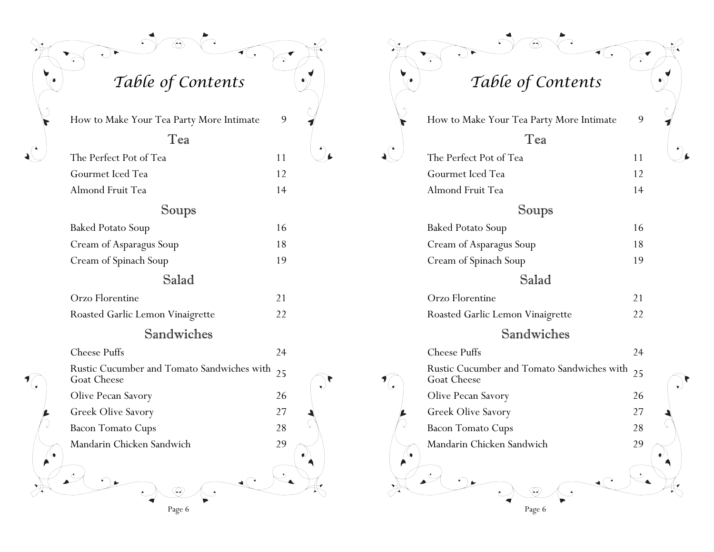*Table of Contents Table of Contents*

◈

How to Make Your Tea Party More Intimate 9

#### Tea

The Perfect Pot of Tea 11 Gourmet Iced Tea 12 Almond Fruit Tea 14

### Soups

Baked Potato Soup 16 Cream of Asparagus Soup 18 Cream of Spinach Soup 19

### Salad

| Orzo Florentine                  |  |
|----------------------------------|--|
| Roasted Garlic Lemon Vinaigrette |  |

### Sandwiches

|   | <b>Cheese Puffs</b>                                                      | 24 |             |
|---|--------------------------------------------------------------------------|----|-------------|
|   | Rustic Cucumber and Tomato Sandwiches with $_{25}$<br><b>Goat Cheese</b> |    | $\bullet$ . |
|   | Olive Pecan Savory                                                       | 26 |             |
|   | Greek Olive Savory                                                       | 27 |             |
| V | <b>Bacon Tomato Cups</b>                                                 | 28 |             |
| A | Mandarin Chicken Sandwich<br>لمعا.                                       | 29 | $\bullet$   |
|   | Page 6                                                                   |    |             |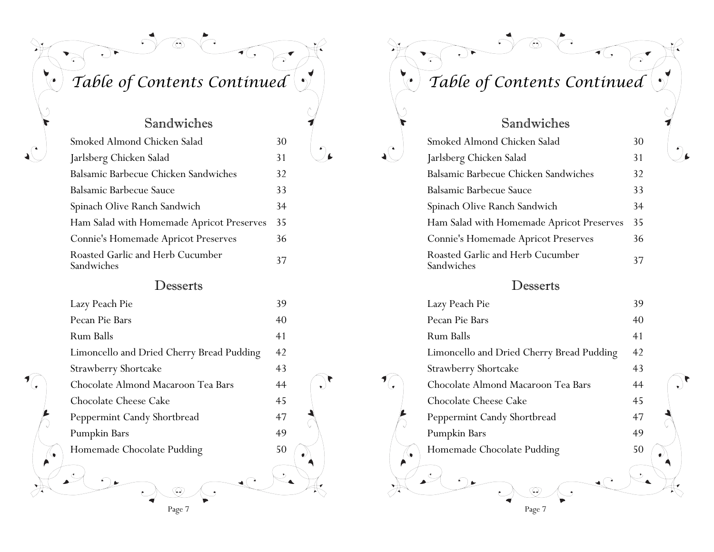## *Table of Contents Continued Table of Contents Continued*

 $\widehat{\mathbb{C}}$ 

 $\sqrt{\sqrt{2}}$ 

 $\triangleright$ 

## Sandwiches

| Smoked Almond Chicken Salad                    | 30 |
|------------------------------------------------|----|
| Jarlsberg Chicken Salad                        | 31 |
| Balsamic Barbecue Chicken Sandwiches           | 32 |
| Balsamic Barbecue Sauce                        | 33 |
| Spinach Olive Ranch Sandwich                   | 34 |
| Ham Salad with Homemade Apricot Preserves      | 35 |
| Connie's Homemade Apricot Preserves            | 36 |
| Roasted Garlic and Herb Cucumber<br>Sandwiches | 37 |

### Desserts

|   | Lazy Peach Pie                            | 39 |  |
|---|-------------------------------------------|----|--|
|   | Pecan Pie Bars                            | 40 |  |
|   | Rum Balls                                 | 41 |  |
|   | Limoncello and Dried Cherry Bread Pudding | 42 |  |
|   | Strawberry Shortcake                      | 43 |  |
|   | Chocolate Almond Macaroon Tea Bars        | 44 |  |
|   | Chocolate Cheese Cake                     | 45 |  |
|   | Peppermint Candy Shortbread               | 47 |  |
|   | Pumpkin Bars                              | 49 |  |
| ò | Homemade Chocolate Pudding                | 50 |  |
|   |                                           |    |  |

Page 7